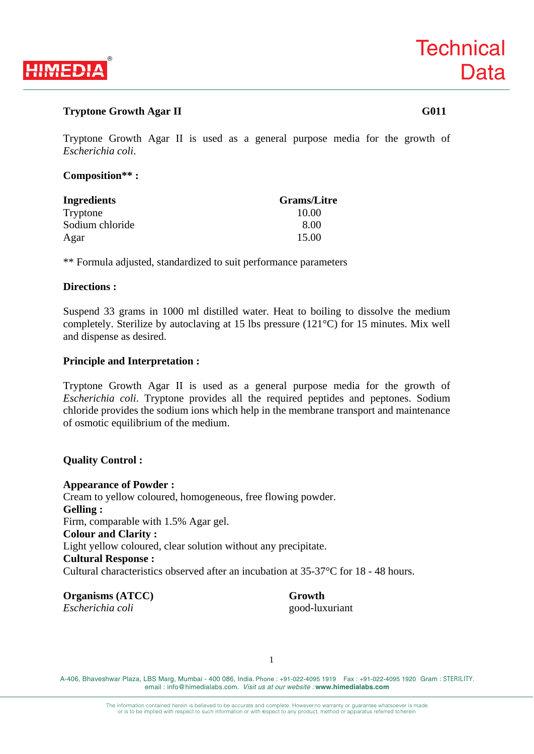

# **Tryptone Growth Agar II** G011

Tryptone Growth Agar II is used as a general purpose media for the growth of *Escherichia coli*.

**Composition\*\* :** 

| Ingredients     | <b>Grams/Litre</b> |
|-----------------|--------------------|
| Tryptone        | 10.00              |
| Sodium chloride | 8.00               |
| Agar            | 15.00              |

\*\* Formula adjusted, standardized to suit performance parameters

### **Directions :**

Suspend 33 grams in 1000 ml distilled water. Heat to boiling to dissolve the medium completely. Sterilize by autoclaving at 15 lbs pressure (121°C) for 15 minutes. Mix well and dispense as desired.

### **Principle and Interpretation :**

Tryptone Growth Agar II is used as a general purpose media for the growth of *Escherichia coli*. Tryptone provides all the required peptides and peptones. Sodium chloride provides the sodium ions which help in the membrane transport and maintenance of osmotic equilibrium of the medium.

## **Quality Control :**

**Appearance of Powder :**  Cream to yellow coloured, homogeneous, free flowing powder. **Gelling :**  Firm, comparable with 1.5% Agar gel. **Colour and Clarity :**  Light yellow coloured, clear solution without any precipitate. **Cultural Response :**  Cultural characteristics observed after an incubation at 35-37°C for 18 - 48 hours.

**Organisms (ATCC) Growth** *Escherichia coli* good-luxuriant

1

A-406, Bhaveshwar Plaza, LBS Marg, Mumbai - 400 086, India. Phone : +91-022-4095 1919 Fax : +91-022-4095 1920 Gram : STERILITY. email : info@himedialabs.com. *Visit us at our website :* **www.himedialabs.com**